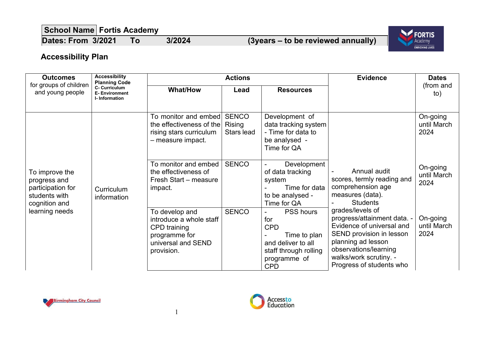**School Name Fortis Academy**

**Dates: From 3/2021 To 3/2024 (3years – to be reviewed annually)**



## **Accessibility Plan**

| <b>Outcomes</b>                                                                                         | <b>Accessibility</b><br><b>Planning Code</b>                                                                                                                                    | <b>Actions</b>                                                               |                                             |                                                                                                                                                      | <b>Evidence</b>                                                                                                                                                                                                                                                                                                         | <b>Dates</b>                    |
|---------------------------------------------------------------------------------------------------------|---------------------------------------------------------------------------------------------------------------------------------------------------------------------------------|------------------------------------------------------------------------------|---------------------------------------------|------------------------------------------------------------------------------------------------------------------------------------------------------|-------------------------------------------------------------------------------------------------------------------------------------------------------------------------------------------------------------------------------------------------------------------------------------------------------------------------|---------------------------------|
| for groups of children<br>and young people                                                              | C- Curriculum<br><b>E-Environment</b><br>I-Information                                                                                                                          | <b>What/How</b>                                                              | Lead                                        | <b>Resources</b>                                                                                                                                     |                                                                                                                                                                                                                                                                                                                         | (from and<br>to)                |
| To improve the<br>progress and<br>participation for<br>students with<br>cognition and<br>learning needs | - measure impact.<br>the effectiveness of<br>impact.<br><b>Curriculum</b><br>information<br>To develop and<br>CPD training<br>programme for<br>universal and SEND<br>provision. | To monitor and embed <br>the effectiveness of the<br>rising stars curriculum | <b>SENCO</b><br><b>Rising</b><br>Stars lead | Development of<br>data tracking system<br>- Time for data to<br>be analysed -<br>Time for QA                                                         | Annual audit<br>scores, termly reading and<br>comprehension age<br>measures (data).<br><b>Students</b><br>grades/levels of<br>progress/attainment data. -<br>Evidence of universal and<br>SEND provision in lesson<br>planning ad lesson<br>observations/learning<br>walks/work scrutiny. -<br>Progress of students who | On-going<br>until March<br>2024 |
|                                                                                                         |                                                                                                                                                                                 | To monitor and embed<br>Fresh Start - measure                                | <b>SENCO</b>                                | Development<br>$\blacksquare$<br>of data tracking<br>system<br>Time for data<br>to be analysed -<br>Time for QA                                      |                                                                                                                                                                                                                                                                                                                         | On-going<br>until March<br>2024 |
|                                                                                                         |                                                                                                                                                                                 | introduce a whole staff                                                      | <b>SENCO</b>                                | <b>PSS hours</b><br>$\blacksquare$<br>for<br><b>CPD</b><br>Time to plan<br>and deliver to all<br>staff through rolling<br>programme of<br><b>CPD</b> |                                                                                                                                                                                                                                                                                                                         | On-going<br>until March<br>2024 |



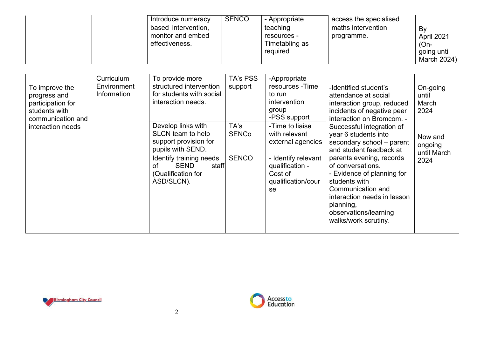| going until<br>required<br>March 2024) |
|----------------------------------------|
|----------------------------------------|

| To improve the<br>progress and<br>participation for<br>students with<br>communication and | <b>Curriculum</b><br>Environment<br>Information | To provide more<br>structured intervention<br>for students with social<br>interaction needs.                                                                                       | TA's PSS<br>support           | -Appropriate<br>resources - Time<br>to run<br>intervention<br>group<br>-PSS support                                                    | -Identified student's<br>attendance at social<br>interaction group, reduced<br>incidents of negative peer<br>interaction on Bromcom. -                                                                                                                                                                                      | On-going<br>until<br>March<br>2024        |
|-------------------------------------------------------------------------------------------|-------------------------------------------------|------------------------------------------------------------------------------------------------------------------------------------------------------------------------------------|-------------------------------|----------------------------------------------------------------------------------------------------------------------------------------|-----------------------------------------------------------------------------------------------------------------------------------------------------------------------------------------------------------------------------------------------------------------------------------------------------------------------------|-------------------------------------------|
| interaction needs                                                                         |                                                 | Develop links with<br>SLCN team to help<br>support provision for<br>pupils with SEND.<br>Identify training needs<br><b>SEND</b><br>staff<br>οf<br>(Qualification for<br>ASD/SLCN). | TA's<br>SENCo<br><b>SENCO</b> | -Time to liaise<br>with relevant<br>external agencies<br>- Identify relevant<br>qualification -<br>Cost of<br>qualification/cour<br>se | Successful integration of<br>year 6 students into<br>secondary school - parent<br>and student feedback at<br>parents evening, records<br>of conversations.<br>- Evidence of planning for<br>students with<br>Communication and<br>interaction needs in lesson<br>planning,<br>observations/learning<br>walks/work scrutiny. | Now and<br>ongoing<br>until March<br>2024 |



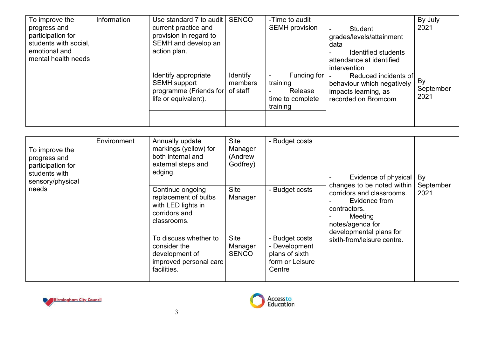| To improve the<br>progress and<br>participation for<br>students with social,<br>emotional and<br>mental health needs | Information | Use standard 7 to audit<br>current practice and<br>provision in regard to<br>SEMH and develop an<br>action plan. | <b>SENCO</b>                    | -Time to audit<br><b>SEMH</b> provision                            | <b>Student</b><br>grades/levels/attainment<br>data<br>Identified students<br>attendance at identified<br>intervention<br>Reduced incidents of<br>behaviour which negatively<br>impacts learning, as<br>recorded on Bromcom | By July<br>2021         |
|----------------------------------------------------------------------------------------------------------------------|-------------|------------------------------------------------------------------------------------------------------------------|---------------------------------|--------------------------------------------------------------------|----------------------------------------------------------------------------------------------------------------------------------------------------------------------------------------------------------------------------|-------------------------|
|                                                                                                                      |             | Identify appropriate<br><b>SEMH</b> support<br>programme (Friends for<br>life or equivalent).                    | Identify<br>members<br>of staff | Funding for<br>training<br>Release<br>time to complete<br>training |                                                                                                                                                                                                                            | By<br>September<br>2021 |

| To improve the<br>progress and<br>participation for<br>students with<br>sensory/physical<br>needs | Environment<br>edging.<br>facilities. | Annually update<br>markings (yellow) for<br>both internal and<br>external steps and            | <b>Site</b><br>Manager<br>(Andrew<br>Godfrey) | - Budget costs                                                                 | Evidence of physical<br>changes to be noted within<br>corridors and classrooms.<br>Evidence from<br>contractors.<br>Meeting<br>notes/agenda for<br>developmental plans for<br>sixth-from/leisure centre. | By<br>September<br>2021 |
|---------------------------------------------------------------------------------------------------|---------------------------------------|------------------------------------------------------------------------------------------------|-----------------------------------------------|--------------------------------------------------------------------------------|----------------------------------------------------------------------------------------------------------------------------------------------------------------------------------------------------------|-------------------------|
|                                                                                                   |                                       | Continue ongoing<br>replacement of bulbs<br>with LED lights in<br>corridors and<br>classrooms. | <b>Site</b><br>Manager                        | - Budget costs                                                                 |                                                                                                                                                                                                          |                         |
|                                                                                                   |                                       | To discuss whether to<br>consider the<br>development of<br>improved personal care              | <b>Site</b><br>Manager<br><b>SENCO</b>        | - Budget costs<br>- Development<br>plans of sixth<br>form or Leisure<br>Centre |                                                                                                                                                                                                          |                         |